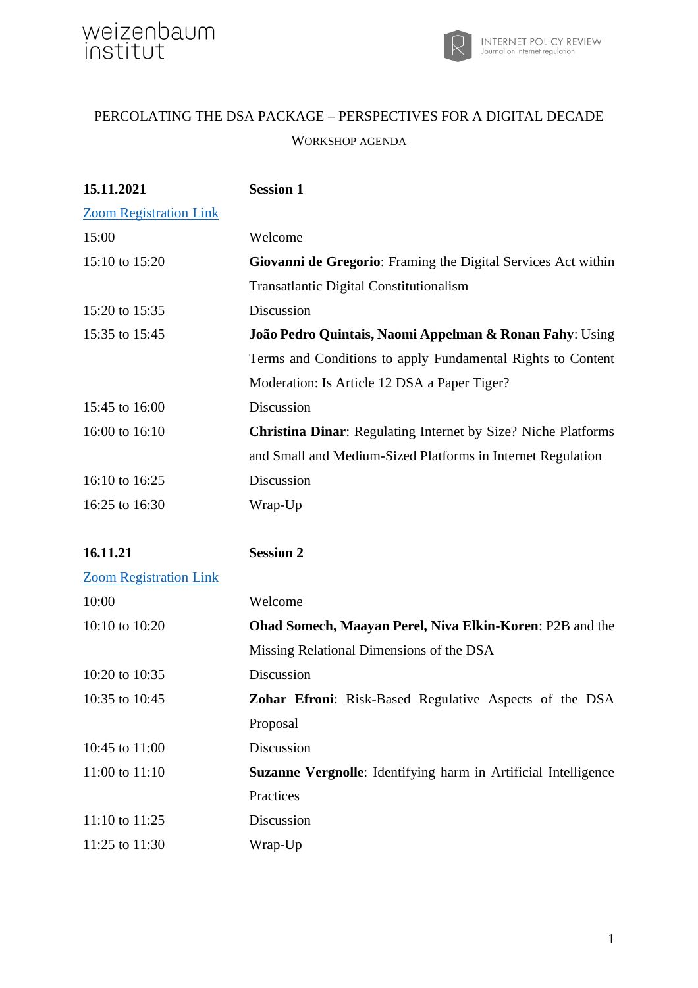

### PERCOLATING THE DSA PACKAGE – PERSPECTIVES FOR A DIGITAL DECADE WORKSHOP AGENDA

| 15.11.2021                    | <b>Session 1</b>                                                     |
|-------------------------------|----------------------------------------------------------------------|
| <b>Zoom Registration Link</b> |                                                                      |
| 15:00                         | Welcome                                                              |
| 15:10 to 15:20                | Giovanni de Gregorio: Framing the Digital Services Act within        |
|                               | <b>Transatlantic Digital Constitutionalism</b>                       |
| 15:20 to 15:35                | Discussion                                                           |
| 15:35 to 15:45                | João Pedro Quintais, Naomi Appelman & Ronan Fahy: Using              |
|                               | Terms and Conditions to apply Fundamental Rights to Content          |
|                               | Moderation: Is Article 12 DSA a Paper Tiger?                         |
| 15:45 to 16:00                | Discussion                                                           |
| 16:00 to 16:10                | <b>Christina Dinar:</b> Regulating Internet by Size? Niche Platforms |
|                               | and Small and Medium-Sized Platforms in Internet Regulation          |
| 16:10 to 16:25                | Discussion                                                           |
| 16:25 to 16:30                | Wrap-Up                                                              |
|                               |                                                                      |
| 16.11.21                      | <b>Session 2</b>                                                     |
| <b>Zoom Registration Link</b> |                                                                      |
| 10:00                         | Welcome                                                              |
| 10:10 to 10:20                | Ohad Somech, Maayan Perel, Niva Elkin-Koren: P2B and the             |
|                               | Missing Relational Dimensions of the DSA                             |
| 10:20 to 10:35                | Discussion                                                           |
| 10:35 to 10:45                | Zohar Efroni: Risk-Based Regulative Aspects of the DSA               |
|                               | Proposal                                                             |
| 10:45 to 11:00                | Discussion                                                           |
| 11:00 to 11:10                | Suzanne Vergnolle: Identifying harm in Artificial Intelligence       |
|                               | Practices                                                            |
| 11:10 to 11:25                | Discussion                                                           |
| 11:25 to 11:30                | Wrap-Up                                                              |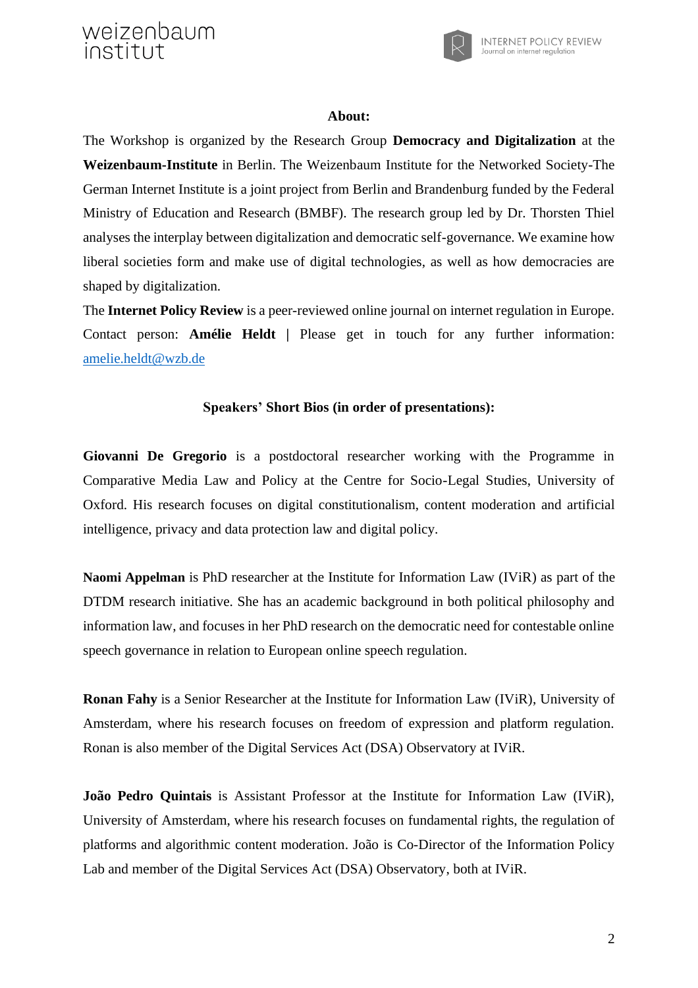weizenbaum institut



#### **About:**

The Workshop is organized by the Research Group **Democracy and Digitalization** at the **Weizenbaum-Institute** in Berlin. The Weizenbaum Institute for the Networked Society-The German Internet Institute is a joint project from Berlin and Brandenburg funded by the Federal Ministry of Education and Research (BMBF). The research group led by Dr. Thorsten Thiel analyses the interplay between digitalization and democratic self-governance. We examine how liberal societies form and make use of digital technologies, as well as how democracies are shaped by digitalization.

The **Internet Policy Review** is a peer-reviewed online journal on internet regulation in Europe. Contact person: **Amélie Heldt |** Please get in touch for any further information: [amelie.heldt@wzb.de](mailto:amelie.heldt@wzb.de?subject=DSA%20Workshop)

### **Speakers' Short Bios (in order of presentations):**

**Giovanni De Gregorio** is a postdoctoral researcher working with the Programme in Comparative Media Law and Policy at the Centre for Socio-Legal Studies, University of Oxford. His research focuses on digital constitutionalism, content moderation and artificial intelligence, privacy and data protection law and digital policy.

**Naomi Appelman** is PhD researcher at the Institute for Information Law (IViR) as part of the DTDM research initiative. She has an academic background in both political philosophy and information law, and focuses in her PhD research on the democratic need for contestable online speech governance in relation to European online speech regulation.

**Ronan Fahy** is a Senior Researcher at the Institute for Information Law (IViR), University of Amsterdam, where his research focuses on freedom of expression and platform regulation. Ronan is also member of the Digital Services Act (DSA) Observatory at IViR.

**João Pedro Quintais** is Assistant Professor at the Institute for Information Law (IViR), University of Amsterdam, where his research focuses on fundamental rights, the regulation of platforms and algorithmic content moderation. João is Co-Director of the Information Policy Lab and member of the Digital Services Act (DSA) Observatory, both at IViR.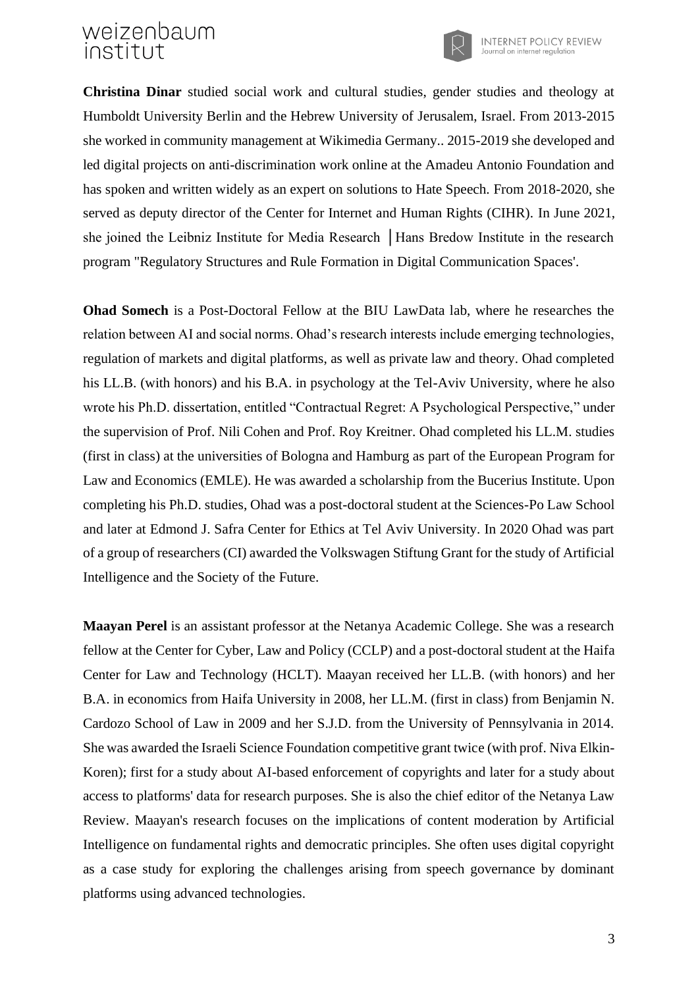# weizenbaum institut



**Christina Dinar** studied social work and cultural studies, gender studies and theology at Humboldt University Berlin and the Hebrew University of Jerusalem, Israel. From 2013-2015 she worked in community management at Wikimedia Germany.. 2015-2019 she developed and led digital projects on anti-discrimination work online at the Amadeu Antonio Foundation and has spoken and written widely as an expert on solutions to Hate Speech. From 2018-2020, she served as deputy director of the Center for Internet and Human Rights (CIHR). In June 2021, she joined the Leibniz Institute for Media Research │Hans Bredow Institute in the research program "Regulatory Structures and Rule Formation in Digital Communication Spaces'.

**Ohad Somech** is a Post-Doctoral Fellow at the BIU LawData lab, where he researches the relation between AI and social norms. Ohad's research interests include emerging technologies, regulation of markets and digital platforms, as well as private law and theory. Ohad completed his LL.B. (with honors) and his B.A. in psychology at the Tel-Aviv University, where he also wrote his Ph.D. dissertation, entitled "Contractual Regret: A Psychological Perspective," under the supervision of Prof. Nili Cohen and Prof. Roy Kreitner. Ohad completed his LL.M. studies (first in class) at the universities of Bologna and Hamburg as part of the European Program for Law and Economics (EMLE). He was awarded a scholarship from the Bucerius Institute. Upon completing his Ph.D. studies, Ohad was a post-doctoral student at the Sciences-Po Law School and later at Edmond J. Safra Center for Ethics at Tel Aviv University. In 2020 Ohad was part of a group of researchers (CI) awarded the Volkswagen Stiftung Grant for the study of Artificial Intelligence and the Society of the Future.

**Maayan Perel** is an assistant professor at the Netanya Academic College. She was a research fellow at the Center for Cyber, Law and Policy (CCLP) and a post-doctoral student at the Haifa Center for Law and Technology (HCLT). Maayan received her LL.B. (with honors) and her B.A. in economics from Haifa University in 2008, her LL.M. (first in class) from Benjamin N. Cardozo School of Law in 2009 and her S.J.D. from the University of Pennsylvania in 2014. She was awarded the Israeli Science Foundation competitive grant twice (with prof. Niva Elkin-Koren); first for a study about AI-based enforcement of copyrights and later for a study about access to platforms' data for research purposes. She is also the chief editor of the Netanya Law Review. Maayan's research focuses on the implications of content moderation by Artificial Intelligence on fundamental rights and democratic principles. She often uses digital copyright as a case study for exploring the challenges arising from speech governance by dominant platforms using advanced technologies.